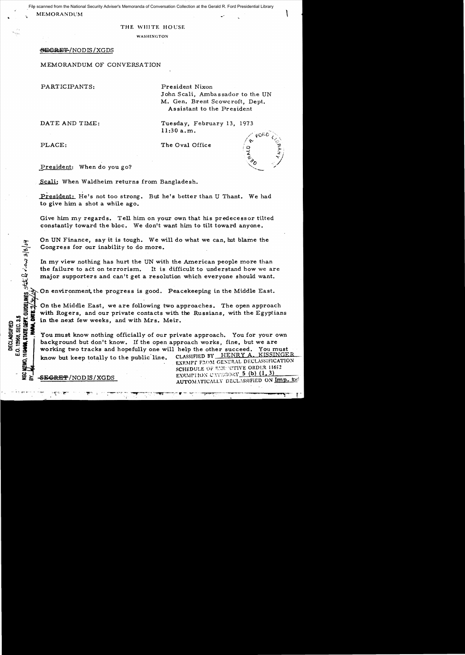File scanned from the National Security Adviser's Memoranda of Conversation Collection at the Gerald R. Ford Presidential Library<br>MEMORANDUM **1999** File scanned from the National Security Adviser's Memoranda of Conversation Collection at the Gerald R. Ford Presidential Library

# THE WHITE HOUSE

WASIIINGTON

## BEGREF/NODIS/XGDS

MEMORANDUM OF CONVERSATION

PARTICIPANTS: President Nixon

John Scali, Ambassador to the UN M. Gen. Brent Scowcroft, Dept. Assistant to the President

DATE AND TIME: Tuesday, February 13, 1973 11:30 a.m.

PLACE: The Oval Office

President: When do you go?

Scali: When Waldheim returns from Bangladesh.

President: He's not too strong. But he's better than U Thant. We had to give him a shot a while ago.

Give him my regards. Tell him on your own that his predecessor tilted constantly toward the bloc. We don't want him to tilt toward anyone.

On UN Finance, say it is tough. We will do what we can, but blame the<br>
Congress for our inability to do more.<br>  $\frac{1}{2}$ <br>
In my view nothing has hurt the UN with the American people more that<br>
the failure to act on terror In my view nothing has hurt the UN with the American people more than<br>the failure to act on terrorism. It is difficult to understand how we an It is difficult to understand how we are major supporters and can't get a resolution which everyone should want.

 $^{12}_{12}$  On environment, the progress is good. Peacekeeping in the Middle East.

 $\mathbb{R}$   $\mathbb{R}$   $\mathbb{R}$   $\mathbb{R}$   $\mathbb{R}$   $\mathbb{R}$   $\mathbb{R}$   $\mathbb{R}$   $\mathbb{R}$   $\mathbb{R}$   $\mathbb{R}$   $\mathbb{R}$   $\mathbb{R}$   $\mathbb{R}$   $\mathbb{R}$   $\mathbb{R}$   $\mathbb{R}$   $\mathbb{R}$   $\mathbb{R}$   $\mathbb{R}$   $\mathbb{R}$   $\mathbb{R}$   $\mathbb{R}$   $\mathbb{R}$   $\mathbb{$ On the Middle East, we are following two approaches. The open approach

... with Rogers, and our private contacts with the Russians, with the Egyptians<br>
So it is in the next few weeks, and with Mrs. Meir.<br>
So it is a set of the next know nothing officially of our private approach. You for your Get in the next few weeks, and with Mrs. Meir.<br>  $\frac{1}{2}$ <br>  $\frac{1}{2}$ <br>  $\frac{1}{2}$ <br>  $\frac{1}{2}$ <br>  $\frac{1}{2}$ <br>  $\frac{1}{2}$ <br>  $\frac{1}{2}$ <br>  $\frac{1}{2}$ <br>  $\frac{1}{2}$ <br>  $\frac{1}{2}$ <br>  $\frac{1}{2}$ <br>  $\frac{1}{2}$ <br>  $\frac{1}{2}$ <br>  $\frac{1}{2}$ <br>  $\frac{1}{2}$ <br>  $\frac{1}{2}$ You must know nothing officially of our private approach. You for your own background but don't know. If the open approach works, fine, but we are working two tracks and hopefully one will help the other succeed. You must working two tracks and hopefully one will help the other succeed. You must<br>know but keen totally to the public line . CLASSIFIED BY HENRY A. KISSINGER

u..i~ know but keep totally to the public' line CLASSIFIED BY HENRY A .. KISSINGER . • EXEMPT F:to~1 GE:-\ERAL DECLA!'SiF'lCATION i u SCHEDULE OF !1,~~E" "UTIVE ORDER 11652 EXEMPTION.CATEGORY 5 (b) (1, 3) SEGRET/NOD IS/XGDS EXEMPTION CALINONS CONTRACT TO THE TABLE ON IMP. toel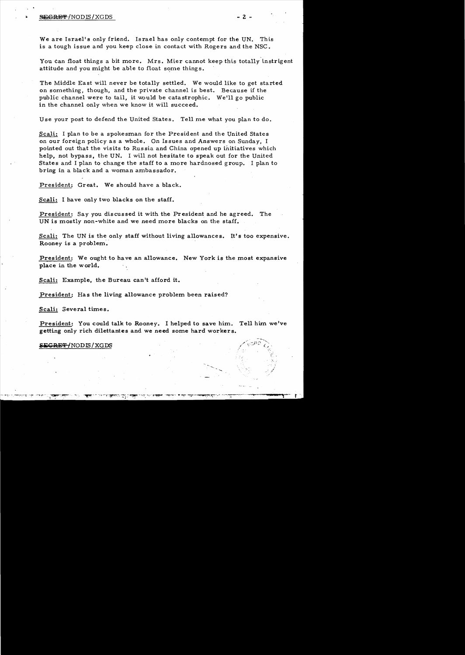### ~'¥INODIS/XGDS - 2

We are Israel's only friend. Israel has only contempt for the UN. This is a tough issue and you keep close in contact with Rogers and the NSC.

You can float things a bit more. Mrs. Mier cannot keep this totally instrigent attitude and you might be able to float some things.

The Middle East will never be totally settled. We would like to get started on something, though, and the private channel is best. Because if the public channel were to tail, it would be catastrophic. We'll go public in the channel only when we know it will succeed.

Use your post to defend the United States. Tell me what you plan to do.

Scali: I plan to be a spokesman for the President and the United States on our foreign policy as a whole. On Issues and Answers on Sunday, I pointed out that the visits to Russia and China opened up initiatives which help, not bypass, the UN. I will not hesitate to speak out for the United States and I plan to change the staff to a more hardnosed group. I plan to bring in a black and a woman ambassador.

President: Great. We should have a black.

Scali: I have only two blacks on the staff.

President: *Say* you discussed it with the President and he agreed. The UN is mostly non-white and we need more blacks on the staff.

Scali: The UN is the only staff without living allowances. It's too expensive. Rooney is a problem.

President: We ought to have an allowance. New York is the most expansive place in the world.

Scali: Example, the Bureau can't afford it.

President: Has the living allowance problem been raised?

Scali: Several times.

President: You could talk to Rooney. 1 helped to save him. Tell him we've getting only rich dilettantes and we need some hard workers.

## S<del>EGRET/</del>NODIS/XGDS

.:.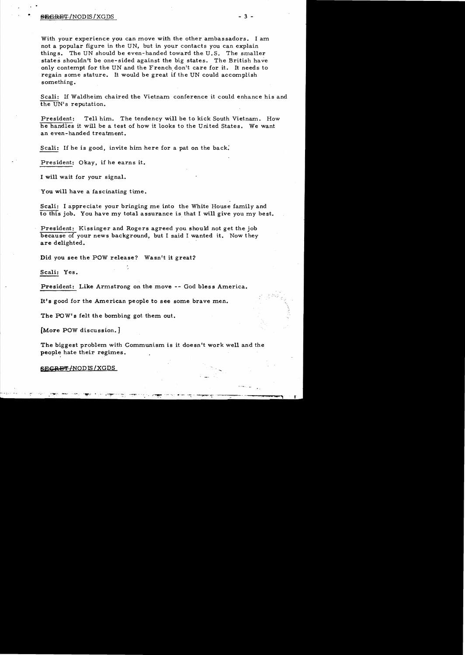## end the second second second second second second second second second second second second second second second second second second second second second second second second second second second second second second seco

With your experience you can move with the other ambassadors. I am not a popular figure in the UN, but in your contacts you can explain things. The UN should be even-handed toward the U.S. The smaller states shouldn't be one-sided against the big states. The British have only contempt for the UN and the French don't care for it. It needs to regain some stature. It would be great if the UN could accomplish something.

Scali: If Waldheim chaired the Vietnam conference it could enhance his and the UN's reputation.

President: Tell him. The tendency will be to kick South Vietnam. How he handles it will be a test of how it looks to the United States. We want an even-handed treatment.

Scali: If he is good, invite him here for a pat on the back:

President: Okay, if he earns it.

I will wait for your signal.

You will have a fascinating time.

Scali: I appreciate your bringing me into the White House family and to this job. You have my total assurance is that I will give you my best.

President: Kissinger and Rogers agreed you should not get the job because of your news background, but I said I wanted it. Now they are delighted.

Did you see the POW release? Wasn't it great?

Scali: Yes.

President: Like Armstrong on the move -- God bless America.

It's good for the American people to see some brave men.

The POW's felt the bombing got them out.

[More POW discussion. J

The biggest problem with Communism is it doesn't work well and the people hate their regimes.

**SECRET/NODIS/XGDS**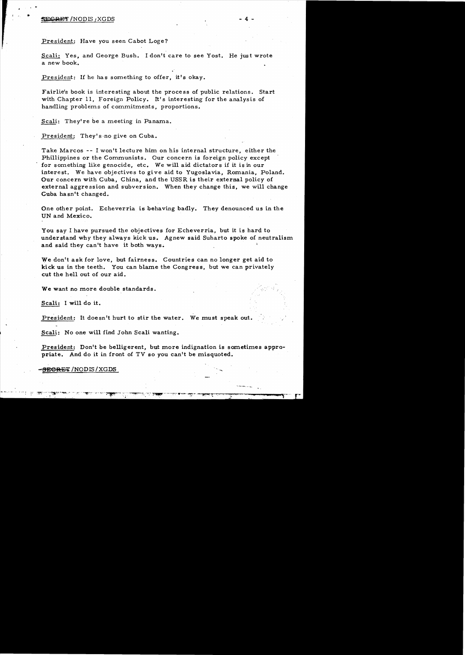## **SECRET/NODIS , XGDS**

 $\bullet$ 

President: Have *you* seen Cabot Loge?

Scali: Yes, and George Bush. I don't care to see Yost. He just wrote a new book.

President: If he has something to offer, it's *okay.* 

Fairlie's book is interesting about the process of public relations. Start with Chapter 11, Foreign Policy. It's interesting for the analysis of handling problems of commitments, proportions.

Scali: They're be a meeting in Panama.

President: They's no give on Cuba.

Take Marcos -- I won't lecture him on his internal structure, either the Phillippines or the Communists. Our concern is foreign policy except for something like genocide, etc. We will aid dictator s if it is in our interest. We have objectives to gi ve aid to Yugoslavia, Romania, Poland. Our concern with Cuba, China, and the USSR is their external policy of external aggression and subversion. When they change this, we will change Cuba hasn't changed.

One other point. Echeverria is behaving badly. They denounced us in the UN and Mexico.

You say I have pursued the objectives for Echeverria, but it is hard to understand why they always kick us. Agnew said Suharto spoke of neutralism and said they can't have it both ways.

We don't ask for love, but fairness. Countries can no longer get aid to kick us in the teeth. You can blame the Congress. but we can privately cut the hell out of our aid.

We want no more double standards.

Scali: I will do it.

President: It doesn't hurt to stir the water. We must speak out.

Scali: No one will find John Scali wanting.

President: Don't be belligerent, but more indignation is sometimes appropriate. And do it in front of TV so you can't be misquoted.

<del>SECRET</del> /NODIS / XGDS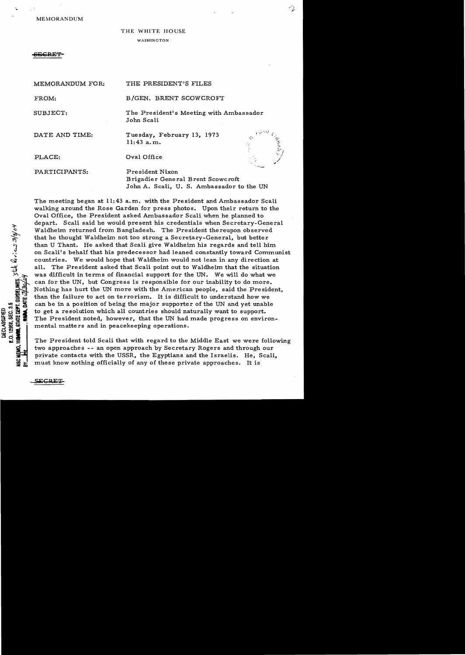MEMORANDUM

# THE WHITE HOUSE

### WASHINGTON

MEMORANDUM FOR: THE PRESIDENT'S FILES

## **ECRES**

'.

| MEMORINDUM FOR: | THE LABORDENT OF ROBO                                                                             |
|-----------------|---------------------------------------------------------------------------------------------------|
| FROM:           | B/GEN. BRENT SCOWCROFT                                                                            |
| SUBJECT:        | The President's Meeting with Ambassador<br>John Scali                                             |
| DATE AND TIME:  | Tuesday, February 13, 1973<br>ومحيما<br>$11:43$ a.m.                                              |
| PLACE:          | Oval Office                                                                                       |
| PARTICIPANTS:   | President Nixon<br>Brigadier General Brent Scowcroft<br>John A. Scali, U. S. Ambassador to the UN |

The meeting began at 11:43 a.m. with the President and Ambassador Scali walking around the Rose Garden for press photos. Upon their return to the Oval Office, the President asked Ambassador Scali when he planned to depart. Scali said he would present his credentials when Secretary-General Waldheim returned from Bangladesh. The President thereupon observed that he thought Waldheirn not too strong a Secretary-General, but better than U Thant. He asked that Scali give Waldheim his regards and tell him on Scali's behalf that his predecessor had leaned constantly toward Communist countries. We would hope that Waldheirn would not lean in any direction at all. The President asked that Scali point out to Waldheim that the situation was difficult in terms of financial support for the UN. We will do what we can for the UN, but Congress is responsible for our inability to do more. Nothing has hurt the UN more with the American people, said the President, than the failure to act on terrorism. It is difficult to understand how we can be in a position of being the major supporter of the UN and yet unable to get a resolution which all countries should naturally want to support. The President noted, however, that the UN had made progress on environmental matters and in peacekeeping operations.

The Pre sident told Scali that with regard to the Middle East we were following two approaches -- an open approach by Secretary Rogers and through our private contacts with the USSR, the Egyptians and the Israelis. He, Scali, must know nothing officially of any of these private approaches. It is

E.O. 12988, SEC. 3.5<br>**HAMPO, STATE DEPT. GUIDELINES**, State  $Q$  of cast 3/8/04

MEMO.

DECLASSIFIED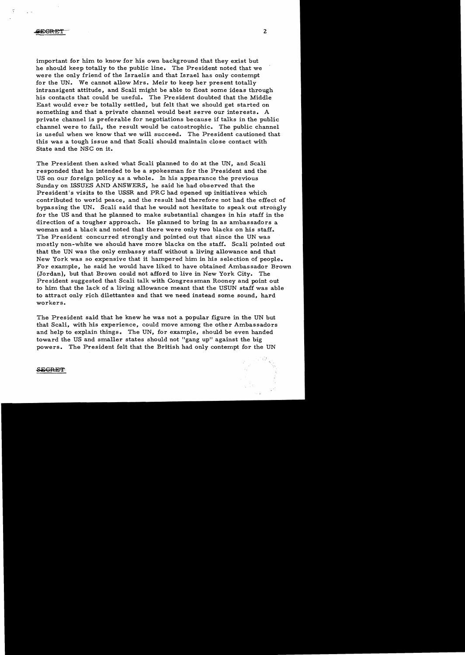important for him to know for his own background that they exist but he should keep totally to the public line. The President noted that we were the only friend of the Israelis and that Israel has only contempt for the UN. We cannot allow Mrs. Meir to keep her present totally intransigent attitude, and Scali might be able to float some ideas through his contacts that could be useful. The President doubted that the Middle East would ever be totally settled, but felt that we should get started on something and that a private channel would best serve our interests. A private channel is preferable for negotiations because if talks in the public channel were to fail, the result would be catostrophic.. The public channel is useful when we know that we will succeed. The President cautioned that this was a tough issue and that Scali should maintain close contact with State and the NSC on it.

The President then asked what Scali planned to do at the UN, and Scali responded that he intended to be a spokesman for the President and the US on our foreign policy as a whole. In his appearance the previous Sunday on ISSUES AND ANSWERS, he said he had observed that the President's visits to the USSR and PRC had opened up initiatives which contributed to world peace, and the result had therefore not had the effect of bypassing the UN. Scali said that he would not hesitate to speak out strongly for the US and that he planned to make substantial changes in his staff in the direction of a tougher approach. He planned to bring in as ambassadors a woman and a black and noted that there were only two blacks on his staff. The President concurred strongly and pointed out that since the UN was mostly non-white we should have more blacks on the staff. Scali pointed out that the UN was the only embassy staff without a living allowance and that New York was so expensive that it hampered him in his selection of people. For example, he said he would have liked to have obtained Ambassador Brown (Jordan), but that Brown could not afford to live in New York City. The President suggested that Scali talk with Congressman Rooney and point out to him that the lack of a living allowance meant that the USUN staff was able to attract only rich dilettantes and that we need instead some sound, hard workers.

The President said that he knew he was not a popular figure in the UN but that Scali, with his experience, could move among the other Ambassadors and help to explain things. The UN, for example, should be even handed toward the US and smaller states should not "gang up" against the big powers. The President felt that the British had only contempt for the UN

#### **SEGRET**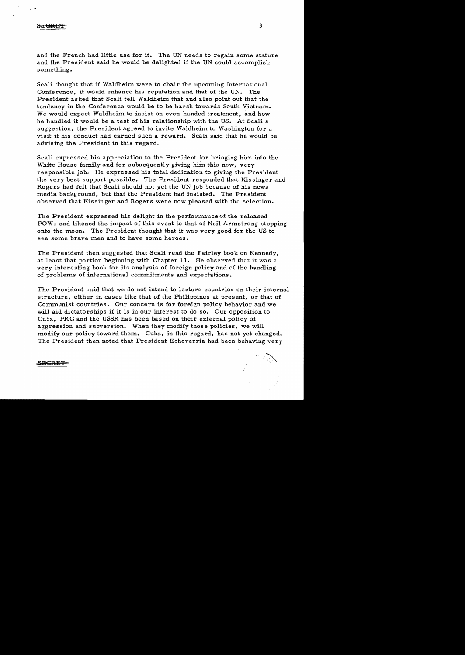and the French had little use for it. The UN needs to regain some stature and the President said he would be delighted if the UN could accomplish something.

Scali thought that if Waldheim were to chair the upcoming International Conference, it would enhance his reputation and that of the UN. The President asked that Scali tell Waldheim that and also point out that the tendency in the Conference would be to be harsh towards South Vietnam. We would expect Waldheim to insist on even-handed treatment, and how he handled it would be a test of his relationship with the US. At Scali's suggestion, the President agreed to invite Waldheim to Washington for a visit if his conduct had earned such a reward. Scali said that he would be advising the President in this regard.

Scali expressed his appreciation to the President for bringing him into the White House family and for subsequently giving him this new. very responsible job. He expressed his total dedication to giving the President the very best support possible. The President responded that Kissinger and Rogers had felt that Scali should not get the UN job because of his news media background, but that the President had insisted. The President observed that Kissinger and Rogers were now pleased with the selection.

The President expressed his delight in the performance of the released POWs and likened the impact of this event to that of Neil Armstrong stepping onto the moon. The President thought that it was very good for the US to see some brave men and to have some heroes.

The President then suggested that Scali read the Fairley book on Kennedy, at least that portion beginning with Chapter 11. He observed that it was a very interesting book for its analysis of foreign policy and of the handling of problems of international commitments and expectations.

The President said that we do not intend to lecture countries on their internal structure, either in cases like that of the Philippines at present, or that of Communist countries. Our concern is for foreign policy behavior and we will aid dictatorships if it is in our interest to do so. Our opposition to Cuba, PRC and the USSR has been based on their external policy of aggression and subversion. When they modify those policies, we will modify our policy toward them. Cuba, in this regard, has not yet changed. The President then noted that President Echeverria had been behaving very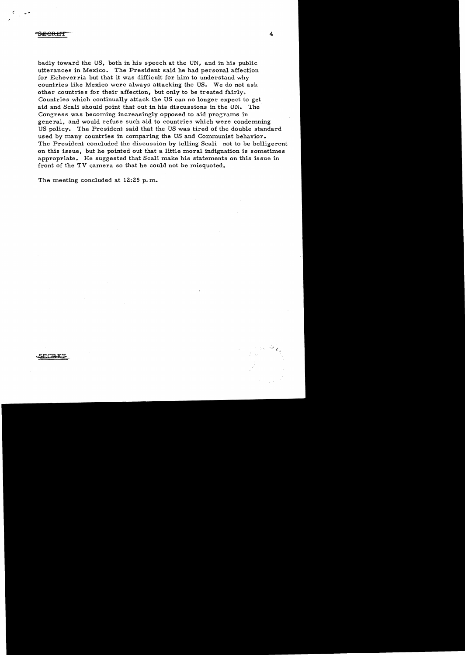### <del>SREJ</del>

ECRFS

badly toward the US, both in his speech at the UN, and in his public utterances in Mexico. The President said he had personal affection for Echeverria but that it was difficult for him to understand why countries like Mexico were always attacking the US. We do not ask other countries for their affection, but only to be treated fairly. Countries which continually attack the US can no longer expect to get aid and Scali should point that out in his discussions in the UN. The Congress was becoming increasingly opposed to aid programs in general, and would refuse such aid to countries which were condemning US policy. The President said that the US was tired of the double standard used by many countries in comparing the US and Communist behavior. The President concluded the discussion by telling Scali not to be belligerent on this issue, but he pointed out that a little moral indignation is sometimes appropriate. He suggested that Scali make his statements on this issue in front of the TV camera so that he could not be misquoted.

The meeting concluded at 12:25 p.m.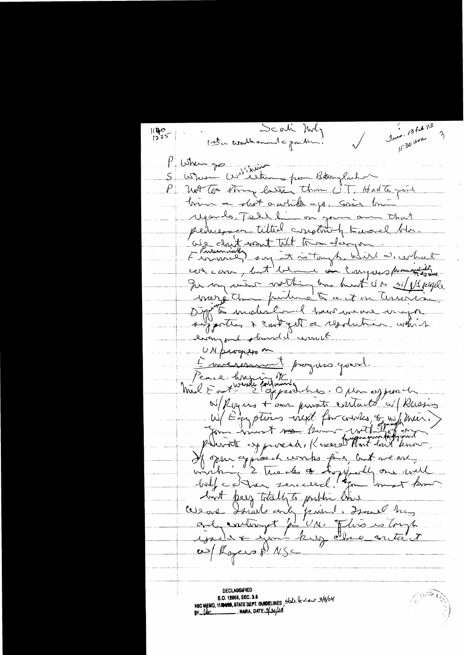Scali Mily Juen. 13 feb 13  $1140$ <br> $1225$ 11:30 and I the world and a gouth P When go watching pour Boughont  $S<sub>1</sub>$  $\color{blue}\rho_{\perp}$ Not too thing laster than UT, Halts point brin a shot a while ago, asis but Mysonlo, Tell bi on you  $-\Delta h$ at titted conglinety toward there das drit was A is tough bir  $201$ showing dist <u>e au Conque</u> red can,  $\mathcal{L}$  ${\mathcal I}$ worthing has bunt UN w/ pt people muin margathe puntuce to Curició  $\overline{c\sigma}$  $\sqrt{2}$ med trawan to molist not get a resolu company  $\rightarrow \gamma \gamma \gamma \gamma$ ald want lingonl & UN progress on L'inversemment progress ground. Pence bronche M'autour de la monde W/Royers + au private contacte et Russing W/Egyptins next for courses, og with men. Devoit expressed. Know to Mont last know opper aggineers works five but we are ce cles controlly on vill  $-$  balf catter peer totally to public this and pried. mort hos Celeare by contingt slongt <u>artie t</u> w/ Royers & NSC **DECLASSIFIED** NEC MEMO, 11/2488, STATE DEPT. GUIDELINES, State leview 3/8/04  $\_$ , nara, date $\cancel{2}$ 30/04 BY De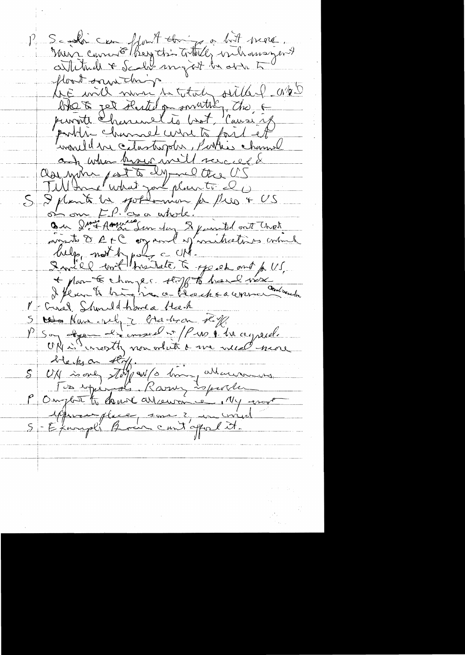P Se la comptet de Mart de floot sant de partie de total sille l'algé<br>like mil nu de total sille l'algé portif charal wire to fort et would be catastrophe, Porties channel any when brown well served 5 3 plant la pottomon de Pres + US<br>5 3 plant la pottomon de Pres + US<br>0 au 2 me American du 8 point dont Chat 2 mil 2 voit traite à part and p 115. P - Cried Showed thore a new Mr Crisel Should-have a bleck 19 rue place, som 2 in vid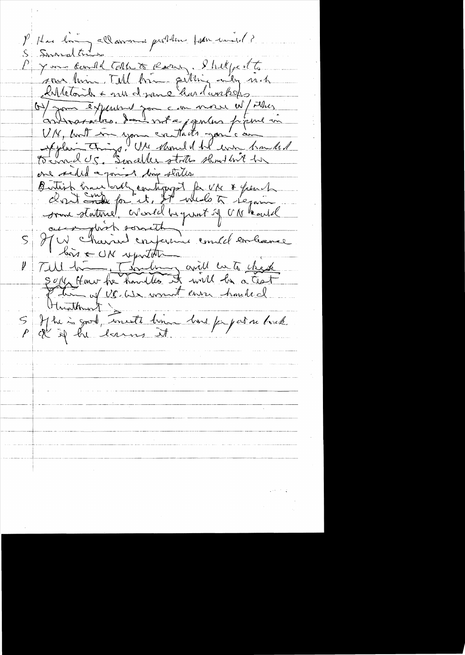P. Hus long allammer problem pour med? S Surralty P 7 m card Tothe & Rose Philippe 15 On your experient you can on e W/Mars autracion dont a jepoles peine in Aplaintings, Use Mondel Torrad US. Sinceller strites shouldn't one reded a porint time states. Butish hunderdy contiguest for use & from 1 some staturel cronel begunt of UM HW charried conference could embanac  $\mathcal{S}_1$ bis CON upritate Till transforming avil  $\not\!\! \nu$  1 Sepp Honor he handles it will be Lewis hauled the of US. We won't Hunthant S Ifte is god, uneste lime lors papare lorch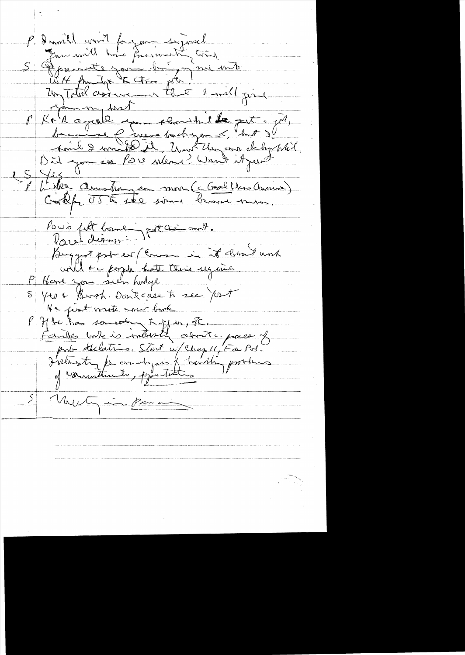P. Daniel com 1 for your deposed<br>5 Four will have france to train<br>5 France you by me with<br>24 Tutul comment that 2 will find P Kr R aquil you cloud to get a pl. S Jes another anton de mon (c Good the Courin) Pouis filt bonne potte aut. Bouggest pour es (comme in it donné work P Hard zon sun holge et chis ugants 8 40 E Broh. Doncease to see fort He just mote me book  $P$  of the than someone to  $H$  as, I. Fairles vote is interesting about yourself prit declation Start is chaque Far Pol. S Mutgin Por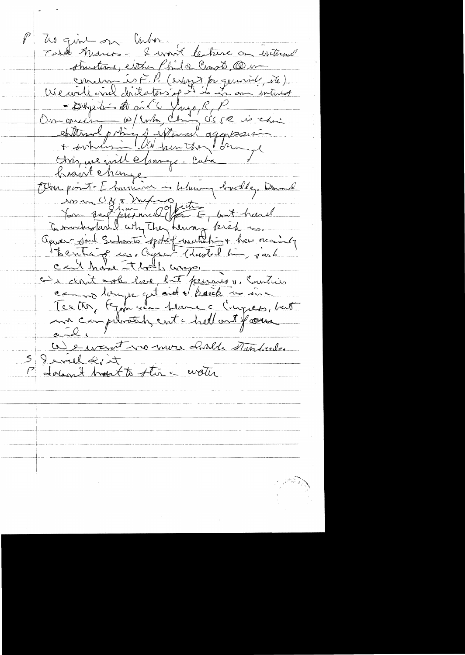P Zo quint on Cuba Todd Marco - I won't le treve on without structure, either Phila Crapts, CD in concern is F. P. (esponsible etc) Our ouer dres de ville fugo, le P.<br>Our ouer le fait de la Compte de la vie chine<br>sottomal princ de la Compte de la vie chine<br>Home me vill clamer lube braintehange Otre point Eherminer in beluany bruchle, Demand in in UNE Mexico fects ; ant head ( ) cat have that wap. camin lunger qu'aid d'hack un inc ma comprimatificant i hell and farmer  $a - 2$ ce en autre mon coule standards. I will dirt P dolomit hart to the water